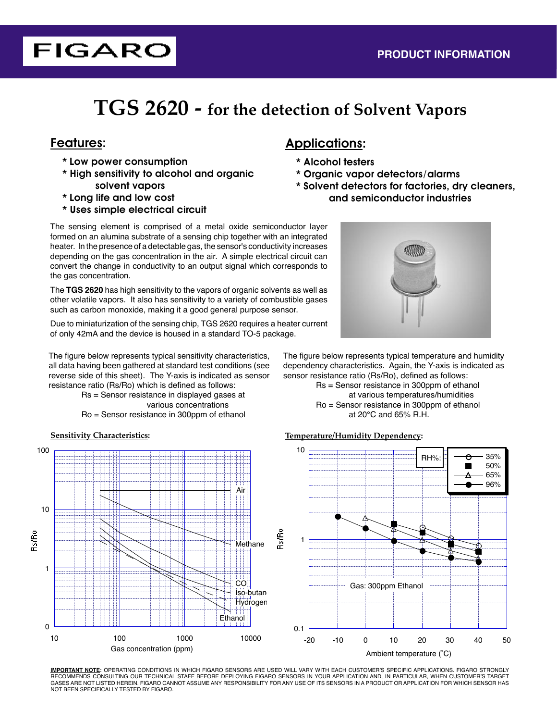# **TGS 2620 - for the detection of Solvent Vapors**

**FIGARO** 

- \* Low power consumption
- \* High sensitivity to alcohol and organic solvent vapors
- \* Long life and low cost
- \* Uses simple electrical circuit

# Features: Applications:

- \* Alcohol testers
- \* Organic vapor detectors/alarms
- \* Solvent detectors for factories, dry cleaners, and semiconductor industries

The sensing element is comprised of a metal oxide semiconductor layer formed on an alumina substrate of a sensing chip together with an integrated heater. In the presence of a detectable gas, the sensor's conductivity increases depending on the gas concentration in the air. A simple electrical circuit can convert the change in conductivity to an output signal which corresponds to the gas concentration.

The **TGS 2620** has high sensitivity to the vapors of organic solvents as well as other volatile vapors. It also has sensitivity to a variety of combustible gases such as carbon monoxide, making it a good general purpose sensor.

Due to miniaturization of the sensing chip, TGS 2620 requires a heater current of only 42mA and the device is housed in a standard TO-5 package.

The figure below represents typical sensitivity characteristics, all data having been gathered at standard test conditions (see reverse side of this sheet). The Y-axis is indicated as sensor resistance ratio (Rs/Ro) which is defined as follows:

 Rs = Sensor resistance in displayed gases at various concentrations Ro = Sensor resistance in 300ppm of ethanol





The figure below represents typical temperature and humidity dependency characteristics. Again, the Y-axis is indicated as sensor resistance ratio (Rs/Ro), defined as follows:

 Rs = Sensor resistance in 300ppm of ethanol at various temperatures/humidities Ro = Sensor resistance in 300ppm of ethanol at 20°C and 65% R.H.

### **Sensitivity Characteristics: Temperature/Humidity Dependency:**



**IMPORTANT NOTE:** OPERATING CONDITIONS IN WHICH FIGARO SENSORS ARE USED WILL VARY WITH EACH CUSTOMER'S SPECIFIC APPLICATIONS. FIGARO STRONGLY RECOMMENDS CONSULTING OUR TECHNICAL STAFF BEFORE DEPLOYING FIGARO SENSORS IN YOUR APPLICATION AND, IN PARTICULAR, WHEN CUSTOMER'S TARGET GASES ARE NOT LISTED HEREIN. FIGARO CANNOT ASSUME ANY RESPONSIBILITY FOR ANY USE OF ITS SENSORS IN A PRODUCT OR APPLICATION FOR WHICH SENSOR HAS NOT BEEN SPECIFICALLY TESTED BY FIGARO.